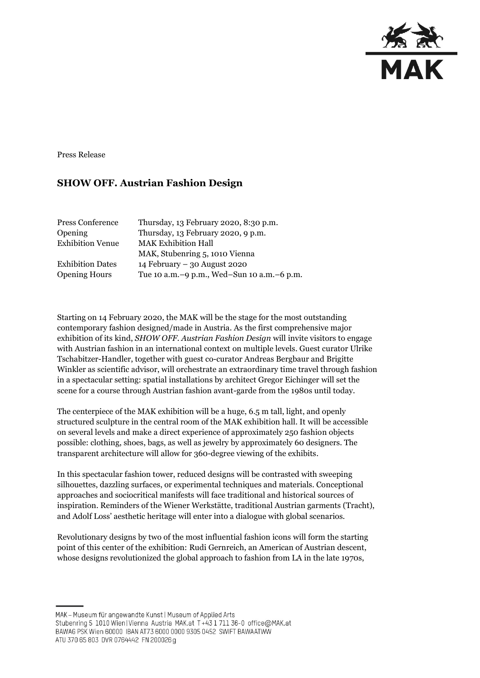

Press Release

## **SHOW OFF. Austrian Fashion Design**

| Press Conference        | Thursday, 13 February 2020, 8:30 p.m.        |
|-------------------------|----------------------------------------------|
| Opening                 | Thursday, 13 February 2020, 9 p.m.           |
| <b>Exhibition Venue</b> | <b>MAK Exhibition Hall</b>                   |
|                         | MAK, Stubenring 5, 1010 Vienna               |
| <b>Exhibition Dates</b> | 14 February - 30 August 2020                 |
| <b>Opening Hours</b>    | Tue 10 a.m. -9 p.m., Wed-Sun 10 a.m. -6 p.m. |

Starting on 14 February 2020, the MAK will be the stage for the most outstanding contemporary fashion designed/made in Austria. As the first comprehensive major exhibition of its kind, *SHOW OFF. Austrian Fashion Design* will invite visitors to engage with Austrian fashion in an international context on multiple levels. Guest curator Ulrike Tschabitzer-Handler, together with guest co-curator Andreas Bergbaur and Brigitte Winkler as scientific advisor, will orchestrate an extraordinary time travel through fashion in a spectacular setting: spatial installations by architect Gregor Eichinger will set the scene for a course through Austrian fashion avant-garde from the 1980s until today.

The centerpiece of the MAK exhibition will be a huge, 6.5 m tall, light, and openly structured sculpture in the central room of the MAK exhibition hall. It will be accessible on several levels and make a direct experience of approximately 250 fashion objects possible: clothing, shoes, bags, as well as jewelry by approximately 60 designers. The transparent architecture will allow for 360-degree viewing of the exhibits.

In this spectacular fashion tower, reduced designs will be contrasted with sweeping silhouettes, dazzling surfaces, or experimental techniques and materials. Conceptional approaches and sociocritical manifests will face traditional and historical sources of inspiration. Reminders of the Wiener Werkstätte, traditional Austrian garments (Tracht), and Adolf Loss' aesthetic heritage will enter into a dialogue with global scenarios.

Revolutionary designs by two of the most influential fashion icons will form the starting point of this center of the exhibition: Rudi Gernreich, an American of Austrian descent, whose designs revolutionized the global approach to fashion from LA in the late 1970s,

MAK - Museum für angewandte Kunst | Museum of Applied Arts

Stubenring 5 1010 Wien | Vienna Austria MAK.at T+43 1 711 36-0 office@MAK.at

BAWAG PSK Wien 60000 IBAN AT73 6000 0000 9305 0452 SWIFT BAWAATWW

ATU 370 65 803 DVR 0764442 FN 200026 g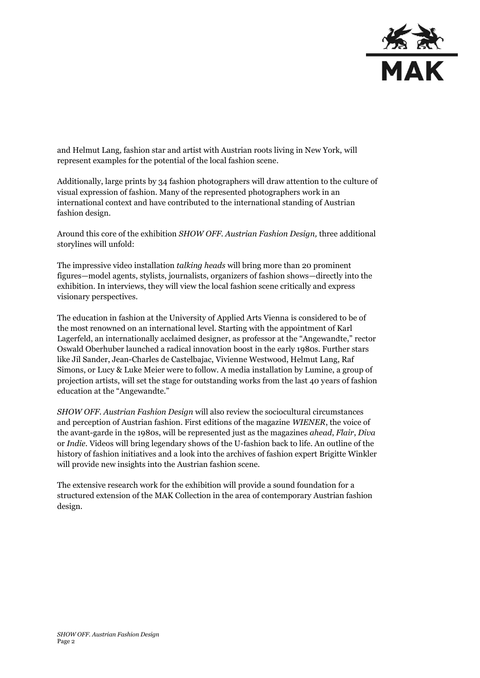

and Helmut Lang, fashion star and artist with Austrian roots living in New York, will represent examples for the potential of the local fashion scene.

Additionally, large prints by 34 fashion photographers will draw attention to the culture of visual expression of fashion. Many of the represented photographers work in an international context and have contributed to the international standing of Austrian fashion design.

Around this core of the exhibition *SHOW OFF. Austrian Fashion Design,* three additional storylines will unfold:

The impressive video installation *talking heads* will bring more than 20 prominent figures—model agents, stylists, journalists, organizers of fashion shows—directly into the exhibition. In interviews, they will view the local fashion scene critically and express visionary perspectives.

The education in fashion at the University of Applied Arts Vienna is considered to be of the most renowned on an international level. Starting with the appointment of Karl Lagerfeld, an internationally acclaimed designer, as professor at the "Angewandte," rector Oswald Oberhuber launched a radical innovation boost in the early 1980s. Further stars like Jil Sander, Jean-Charles de Castelbajac, Vivienne Westwood, Helmut Lang, Raf Simons, or Lucy & Luke Meier were to follow. A media installation by Lumine, a group of projection artists, will set the stage for outstanding works from the last 40 years of fashion education at the "Angewandte."

*SHOW OFF. Austrian Fashion Design* will also review the sociocultural circumstances and perception of Austrian fashion. First editions of the magazine *WIENER*, the voice of the avant-garde in the 1980s, will be represented just as the magazines *ahead*, *Flair*, *Diva* or *Indie.* Videos will bring legendary shows of the U-fashion back to life. An outline of the history of fashion initiatives and a look into the archives of fashion expert Brigitte Winkler will provide new insights into the Austrian fashion scene.

The extensive research work for the exhibition will provide a sound foundation for a structured extension of the MAK Collection in the area of contemporary Austrian fashion design.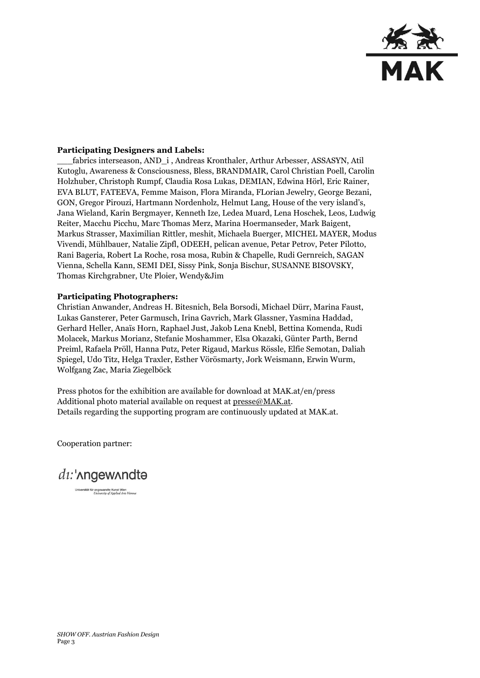

## **Participating Designers and Labels:**

\_\_\_fabrics interseason, AND\_i , Andreas Kronthaler, Arthur Arbesser, ASSASYN, Atil Kutoglu, Awareness & Consciousness, Bless, BRANDMAIR, Carol Christian Poell, Carolin Holzhuber, Christoph Rumpf, Claudia Rosa Lukas, DEMIAN, Edwina Hörl, Eric Rainer, EVA BLUT, FATEEVA, Femme Maison, Flora Miranda, FLorian Jewelry, George Bezani, GON, Gregor Pirouzi, Hartmann Nordenholz, Helmut Lang, House of the very island's, Jana Wieland, Karin Bergmayer, Kenneth Ize, Ledea Muard, Lena Hoschek, Leos, Ludwig Reiter, Macchu Picchu, Marc Thomas Merz, Marina Hoermanseder, Mark Baigent, Markus Strasser, Maximilian Rittler, meshit, Michaela Buerger, MICHEL MAYER, Modus Vivendi, Mühlbauer, Natalie Zipfl, ODEEH, pelican avenue, Petar Petrov, Peter Pilotto, Rani Bageria, Robert La Roche, rosa mosa, Rubin & Chapelle, Rudi Gernreich, SAGAN Vienna, Schella Kann, SEMI DEI, Sissy Pink, Sonja Bischur, SUSANNE BISOVSKY, Thomas Kirchgrabner, Ute Ploier, Wendy&Jim

## **Participating Photographers:**

Christian Anwander, Andreas H. Bitesnich, Bela Borsodi, Michael Dürr, Marina Faust, Lukas Gansterer, Peter Garmusch, Irina Gavrich, Mark Glassner, Yasmina Haddad, Gerhard Heller, Anaïs Horn, Raphael Just, Jakob Lena Knebl, Bettina Komenda, Rudi Molacek, Markus Morianz, Stefanie Moshammer, Elsa Okazaki, Günter Parth, Bernd Preiml, Rafaela Pröll, Hanna Putz, Peter Rigaud, Markus Rössle, Elfie Semotan, Daliah Spiegel, Udo Titz, Helga Traxler, Esther Vörösmarty, Jork Weismann, Erwin Wurm, Wolfgang Zac, Maria Ziegelböck

Press photos for the exhibition are available for download at MAK.at/en/press Additional photo material available on request at [presse@MAK.at.](mailto:presse@MAK.at) Details regarding the supporting program are continuously updated at MAK.at.

Cooperation partner:



Universität für angewandte Kunst Wien<br>
University of Applied Arts Vienna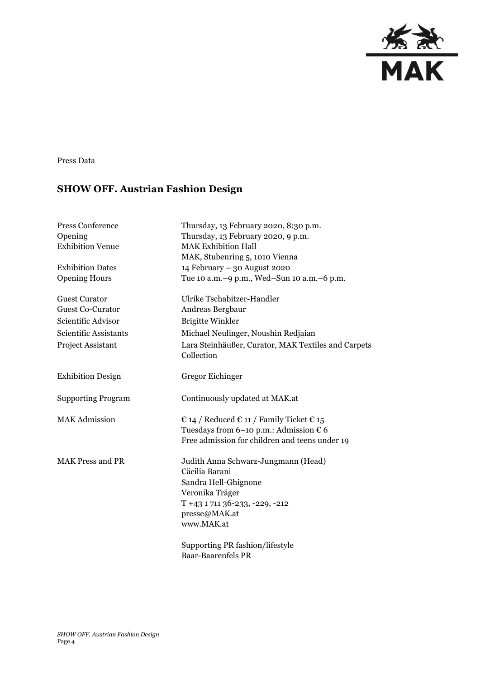

Press Data

## **SHOW OFF. Austrian Fashion Design**

| Press Conference          | Thursday, 13 February 2020, 8:30 p.m.                                                                                                                             |
|---------------------------|-------------------------------------------------------------------------------------------------------------------------------------------------------------------|
| Opening                   | Thursday, 13 February 2020, 9 p.m.                                                                                                                                |
| <b>Exhibition Venue</b>   | <b>MAK Exhibition Hall</b>                                                                                                                                        |
|                           | MAK, Stubenring 5, 1010 Vienna                                                                                                                                    |
| <b>Exhibition Dates</b>   | 14 February - 30 August 2020                                                                                                                                      |
| <b>Opening Hours</b>      | Tue 10 a.m. -9 p.m., Wed-Sun 10 a.m. -6 p.m.                                                                                                                      |
| <b>Guest Curator</b>      | Ulrike Tschabitzer-Handler                                                                                                                                        |
| <b>Guest Co-Curator</b>   | Andreas Bergbaur                                                                                                                                                  |
| Scientific Advisor        | <b>Brigitte Winkler</b>                                                                                                                                           |
| Scientific Assistants     | Michael Neulinger, Noushin Redjaian                                                                                                                               |
| <b>Project Assistant</b>  | Lara Steinhäußer, Curator, MAK Textiles and Carpets<br>Collection                                                                                                 |
| <b>Exhibition Design</b>  | Gregor Eichinger                                                                                                                                                  |
| <b>Supporting Program</b> | Continuously updated at MAK.at                                                                                                                                    |
| <b>MAK Admission</b>      | € 14 / Reduced € 11 / Family Ticket € 15<br>Tuesdays from 6-10 p.m.: Admission $\epsilon$ 6<br>Free admission for children and teens under 19                     |
| <b>MAK Press and PR</b>   | Judith Anna Schwarz-Jungmann (Head)<br>Cäcilia Barani<br>Sandra Hell-Ghignone<br>Veronika Träger<br>T +43 1 711 36-233, -229, -212<br>presse@MAK.at<br>www.MAK.at |
|                           | Supporting PR fashion/lifestyle<br><b>Baar-Baarenfels PR</b>                                                                                                      |
|                           |                                                                                                                                                                   |